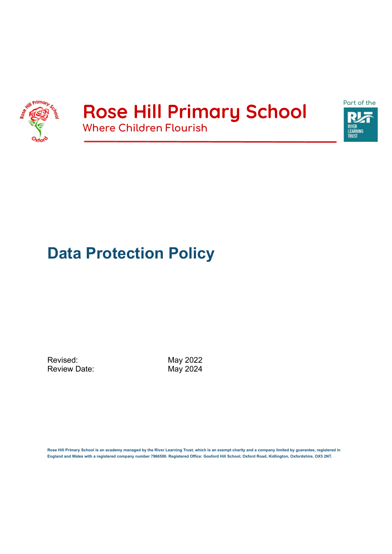

### **Rose Hill Primary School Where Children Flourish**



## **Data Protection Policy**

Revised: May 2022<br>Review Date: May 2024 Review Date:

**Rose Hill Primary School is an academy managed by the River Learning Trust, which is an exempt charity and a company limited by guarantee, registered in England and Wales with a registered company number 7966500. Registered Office: Gosford Hill School, Oxford Road, Kidlington, Oxfordshire, OX5 2NT.**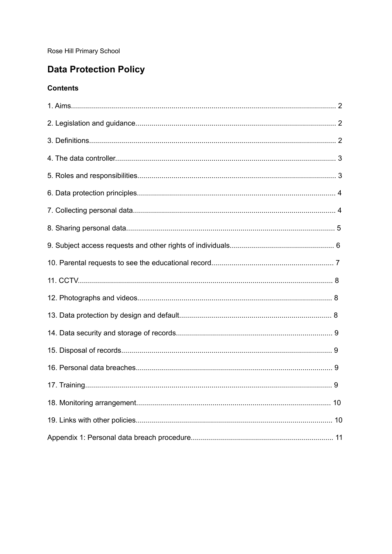Rose Hill Primary School

### **Data Protection Policy**

#### **Contents**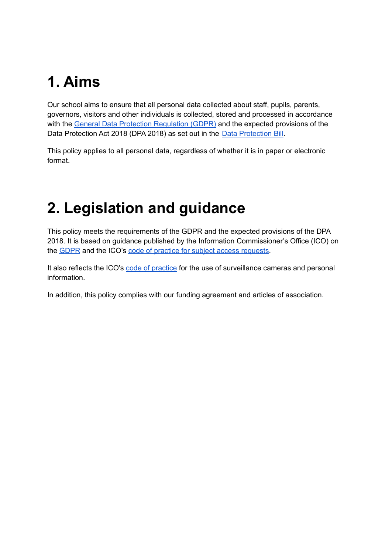## **1. Aims**

Our school aims to ensure that all personal data collected about staff, pupils, parents, governors, visitors and other individuals is collected, stored and processed in accordance with the General Data Protection [Regulation](http://data.consilium.europa.eu/doc/document/ST-5419-2016-INIT/en/pdf) (GDPR) and the expected provisions of the Data Protection Act 2018 (DPA 2018) as set out in the Data [Protection](https://publications.parliament.uk/pa/bills/cbill/2017-2019/0153/18153.pdf) Bill.

This policy applies to all personal data, regardless of whether it is in paper or electronic format.

## **2. Legislation and guidance**

This policy meets the requirements of the GDPR and the expected provisions of the DPA 2018. It is based on guidance published by the Information Commissioner's Office (ICO) on the [GDPR](https://ico.org.uk/for-organisations/guide-to-the-general-data-protection-regulation-gdpr/) and the ICO's code of practice for subject access [requests](https://ico.org.uk/media/for-organisations/documents/2014223/subject-access-code-of-practice.pdf).

It also reflects the ICO's code of [practice](https://ico.org.uk/media/for-organisations/documents/1542/cctv-code-of-practice.pdf) for the use of surveillance cameras and personal information.

In addition, this policy complies with our funding agreement and articles of association.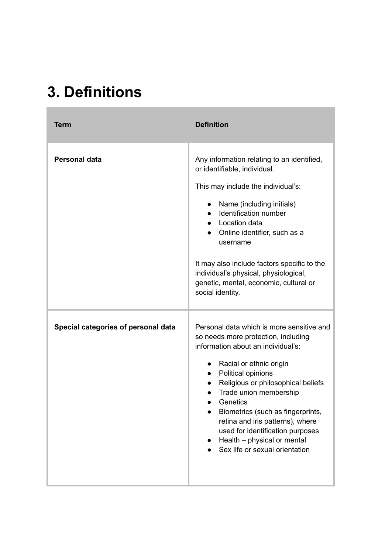## **3. Definitions**

| <b>Term</b>                         | <b>Definition</b>                                                                                                                                                                                                                                                                                                                                                                                                                                           |
|-------------------------------------|-------------------------------------------------------------------------------------------------------------------------------------------------------------------------------------------------------------------------------------------------------------------------------------------------------------------------------------------------------------------------------------------------------------------------------------------------------------|
| <b>Personal data</b>                | Any information relating to an identified,<br>or identifiable, individual.<br>This may include the individual's:<br>Name (including initials)<br>$\bullet$<br>Identification number<br>Location data<br>Online identifier, such as a<br>$\bullet$<br>username<br>It may also include factors specific to the<br>individual's physical, physiological,<br>genetic, mental, economic, cultural or<br>social identity.                                         |
| Special categories of personal data | Personal data which is more sensitive and<br>so needs more protection, including<br>information about an individual's:<br>Racial or ethnic origin<br>$\bullet$<br>Political opinions<br>Religious or philosophical beliefs<br>$\bullet$<br>Trade union membership<br>Genetics<br>Biometrics (such as fingerprints,<br>retina and iris patterns), where<br>used for identification purposes<br>Health - physical or mental<br>Sex life or sexual orientation |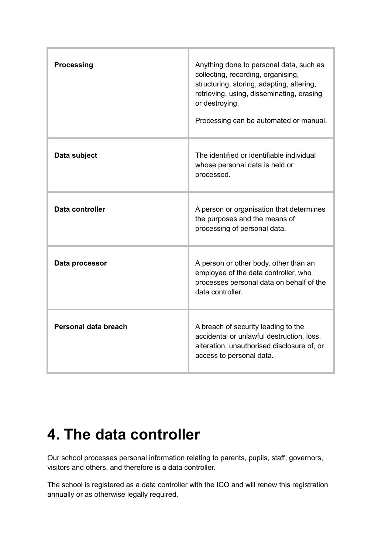| <b>Processing</b>    | Anything done to personal data, such as<br>collecting, recording, organising,<br>structuring, storing, adapting, altering,<br>retrieving, using, disseminating, erasing<br>or destroying.<br>Processing can be automated or manual. |
|----------------------|-------------------------------------------------------------------------------------------------------------------------------------------------------------------------------------------------------------------------------------|
| Data subject         | The identified or identifiable individual<br>whose personal data is held or<br>processed.                                                                                                                                           |
| Data controller      | A person or organisation that determines<br>the purposes and the means of<br>processing of personal data.                                                                                                                           |
| Data processor       | A person or other body, other than an<br>employee of the data controller, who<br>processes personal data on behalf of the<br>data controller.                                                                                       |
| Personal data breach | A breach of security leading to the<br>accidental or unlawful destruction, loss,<br>alteration, unauthorised disclosure of, or<br>access to personal data.                                                                          |

### **4. The data controller**

Our school processes personal information relating to parents, pupils, staff, governors, visitors and others, and therefore is a data controller.

The school is registered as a data controller with the ICO and will renew this registration annually or as otherwise legally required.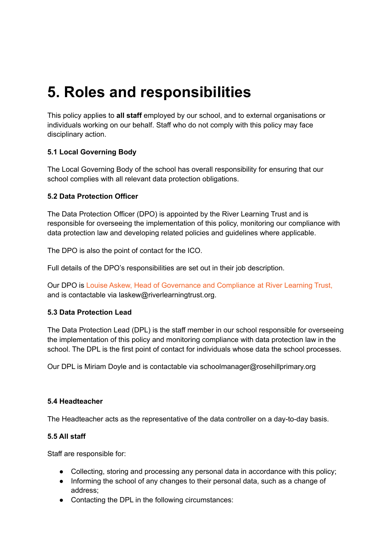## **5. Roles and responsibilities**

This policy applies to **all staff** employed by our school, and to external organisations or individuals working on our behalf. Staff who do not comply with this policy may face disciplinary action.

#### **5.1 Local Governing Body**

The Local Governing Body of the school has overall responsibility for ensuring that our school complies with all relevant data protection obligations.

#### **5.2 Data Protection Officer**

The Data Protection Officer (DPO) is appointed by the River Learning Trust and is responsible for overseeing the implementation of this policy, monitoring our compliance with data protection law and developing related policies and guidelines where applicable.

The DPO is also the point of contact for the ICO.

Full details of the DPO's responsibilities are set out in their job description.

Our DPO is Louise Askew, Head of Governance and Compliance at River Learning Trust, and is contactable via laskew@riverlearningtrust.org.

#### **5.3 Data Protection Lead**

The Data Protection Lead (DPL) is the staff member in our school responsible for overseeing the implementation of this policy and monitoring compliance with data protection law in the school. The DPL is the first point of contact for individuals whose data the school processes.

Our DPL is Miriam Doyle and is contactable via schoolmanager@rosehillprimary.org

#### **5.4 Headteacher**

The Headteacher acts as the representative of the data controller on a day-to-day basis.

#### **5.5 All staff**

Staff are responsible for:

- Collecting, storing and processing any personal data in accordance with this policy;
- Informing the school of any changes to their personal data, such as a change of address;
- Contacting the DPL in the following circumstances: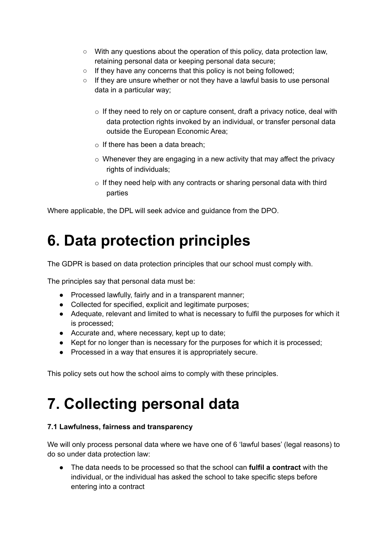- With any questions about the operation of this policy, data protection law, retaining personal data or keeping personal data secure;
- If they have any concerns that this policy is not being followed;
- If they are unsure whether or not they have a lawful basis to use personal data in a particular way;
	- $\circ$  If they need to rely on or capture consent, draft a privacy notice, deal with data protection rights invoked by an individual, or transfer personal data outside the European Economic Area;
	- $\circ$  If there has been a data breach:
	- $\circ$  Whenever they are engaging in a new activity that may affect the privacy rights of individuals;
	- $\circ$  If they need help with any contracts or sharing personal data with third parties

Where applicable, the DPL will seek advice and guidance from the DPO.

## **6. Data protection principles**

The GDPR is based on data protection principles that our school must comply with.

The principles say that personal data must be:

- Processed lawfully, fairly and in a transparent manner;
- Collected for specified, explicit and legitimate purposes;
- Adequate, relevant and limited to what is necessary to fulfil the purposes for which it is processed;
- Accurate and, where necessary, kept up to date;
- Kept for no longer than is necessary for the purposes for which it is processed;
- Processed in a way that ensures it is appropriately secure.

This policy sets out how the school aims to comply with these principles.

## **7. Collecting personal data**

#### **7.1 Lawfulness, fairness and transparency**

We will only process personal data where we have one of 6 'lawful bases' (legal reasons) to do so under data protection law:

● The data needs to be processed so that the school can **fulfil a contract** with the individual, or the individual has asked the school to take specific steps before entering into a contract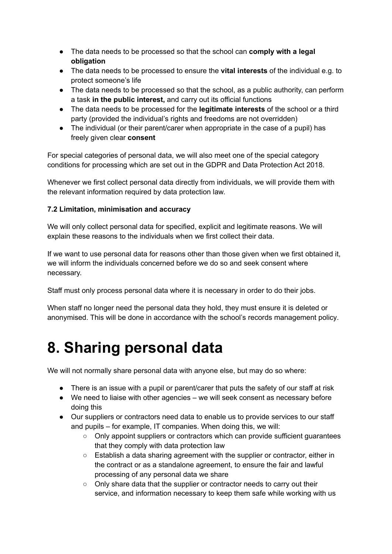- The data needs to be processed so that the school can **comply with a legal obligation**
- The data needs to be processed to ensure the **vital interests** of the individual e.g. to protect someone's life
- The data needs to be processed so that the school, as a public authority, can perform a task **in the public interest,** and carry out its official functions
- The data needs to be processed for the **legitimate interests** of the school or a third party (provided the individual's rights and freedoms are not overridden)
- The individual (or their parent/carer when appropriate in the case of a pupil) has freely given clear **consent**

For special categories of personal data, we will also meet one of the special category conditions for processing which are set out in the GDPR and Data Protection Act 2018.

Whenever we first collect personal data directly from individuals, we will provide them with the relevant information required by data protection law.

#### **7.2 Limitation, minimisation and accuracy**

We will only collect personal data for specified, explicit and legitimate reasons. We will explain these reasons to the individuals when we first collect their data.

If we want to use personal data for reasons other than those given when we first obtained it, we will inform the individuals concerned before we do so and seek consent where necessary.

Staff must only process personal data where it is necessary in order to do their jobs.

When staff no longer need the personal data they hold, they must ensure it is deleted or anonymised. This will be done in accordance with the school's records management policy.

### **8. Sharing personal data**

We will not normally share personal data with anyone else, but may do so where:

- There is an issue with a pupil or parent/carer that puts the safety of our staff at risk
- We need to liaise with other agencies we will seek consent as necessary before doing this
- Our suppliers or contractors need data to enable us to provide services to our staff and pupils – for example, IT companies. When doing this, we will:
	- Only appoint suppliers or contractors which can provide sufficient quarantees that they comply with data protection law
	- Establish a data sharing agreement with the supplier or contractor, either in the contract or as a standalone agreement, to ensure the fair and lawful processing of any personal data we share
	- Only share data that the supplier or contractor needs to carry out their service, and information necessary to keep them safe while working with us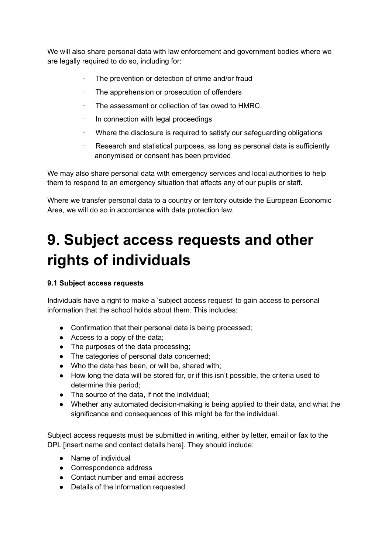We will also share personal data with law enforcement and government bodies where we are legally required to do so, including for:

- · The prevention or detection of crime and/or fraud
- The apprehension or prosecution of offenders
- · The assessment or collection of tax owed to HMRC
- In connection with legal proceedings
- Where the disclosure is required to satisfy our safeguarding obligations
- Research and statistical purposes, as long as personal data is sufficiently anonymised or consent has been provided

We may also share personal data with emergency services and local authorities to help them to respond to an emergency situation that affects any of our pupils or staff.

Where we transfer personal data to a country or territory outside the European Economic Area, we will do so in accordance with data protection law.

## **9. Subject access requests and other rights of individuals**

#### **9.1 Subject access requests**

Individuals have a right to make a 'subject access request' to gain access to personal information that the school holds about them. This includes:

- Confirmation that their personal data is being processed;
- Access to a copy of the data;
- The purposes of the data processing;
- The categories of personal data concerned;
- Who the data has been, or will be, shared with;
- How long the data will be stored for, or if this isn't possible, the criteria used to determine this period;
- The source of the data, if not the individual;
- Whether any automated decision-making is being applied to their data, and what the significance and consequences of this might be for the individual.

Subject access requests must be submitted in writing, either by letter, email or fax to the DPL [insert name and contact details here]. They should include:

- Name of individual
- Correspondence address
- Contact number and email address
- Details of the information requested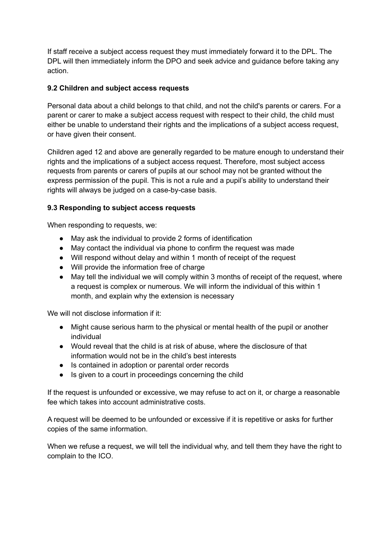If staff receive a subject access request they must immediately forward it to the DPL. The DPL will then immediately inform the DPO and seek advice and guidance before taking any action.

#### **9.2 Children and subject access requests**

Personal data about a child belongs to that child, and not the child's parents or carers. For a parent or carer to make a subject access request with respect to their child, the child must either be unable to understand their rights and the implications of a subject access request, or have given their consent.

Children aged 12 and above are generally regarded to be mature enough to understand their rights and the implications of a subject access request. Therefore, most subject access requests from parents or carers of pupils at our school may not be granted without the express permission of the pupil. This is not a rule and a pupil's ability to understand their rights will always be judged on a case-by-case basis.

#### **9.3 Responding to subject access requests**

When responding to requests, we:

- May ask the individual to provide 2 forms of identification
- May contact the individual via phone to confirm the request was made
- Will respond without delay and within 1 month of receipt of the request
- Will provide the information free of charge
- May tell the individual we will comply within 3 months of receipt of the request, where a request is complex or numerous. We will inform the individual of this within 1 month, and explain why the extension is necessary

We will not disclose information if it:

- Might cause serious harm to the physical or mental health of the pupil or another individual
- Would reveal that the child is at risk of abuse, where the disclosure of that information would not be in the child's best interests
- Is contained in adoption or parental order records
- Is given to a court in proceedings concerning the child

If the request is unfounded or excessive, we may refuse to act on it, or charge a reasonable fee which takes into account administrative costs.

A request will be deemed to be unfounded or excessive if it is repetitive or asks for further copies of the same information.

When we refuse a request, we will tell the individual why, and tell them they have the right to complain to the ICO.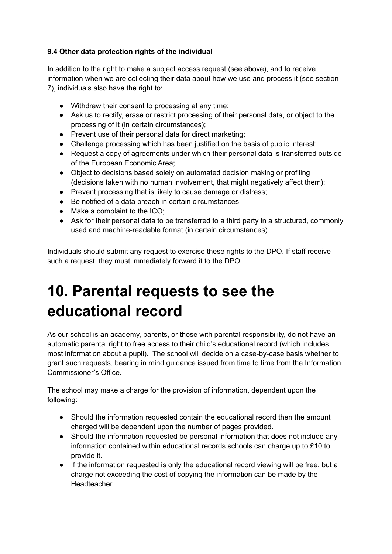#### **9.4 Other data protection rights of the individual**

In addition to the right to make a subject access request (see above), and to receive information when we are collecting their data about how we use and process it (see section 7), individuals also have the right to:

- Withdraw their consent to processing at any time;
- Ask us to rectify, erase or restrict processing of their personal data, or object to the processing of it (in certain circumstances);
- Prevent use of their personal data for direct marketing;
- Challenge processing which has been justified on the basis of public interest;
- Request a copy of agreements under which their personal data is transferred outside of the European Economic Area;
- Object to decisions based solely on automated decision making or profiling (decisions taken with no human involvement, that might negatively affect them);
- Prevent processing that is likely to cause damage or distress;
- Be notified of a data breach in certain circumstances:
- Make a complaint to the ICO;
- Ask for their personal data to be transferred to a third party in a structured, commonly used and machine-readable format (in certain circumstances).

Individuals should submit any request to exercise these rights to the DPO. If staff receive such a request, they must immediately forward it to the DPO.

## **10. Parental requests to see the educational record**

As our school is an academy, parents, or those with parental responsibility, do not have an automatic parental right to free access to their child's educational record (which includes most information about a pupil). The school will decide on a case-by-case basis whether to grant such requests, bearing in mind guidance issued from time to time from the Information Commissioner's Office.

The school may make a charge for the provision of information, dependent upon the following:

- Should the information requested contain the educational record then the amount charged will be dependent upon the number of pages provided.
- Should the information requested be personal information that does not include any information contained within educational records schools can charge up to £10 to provide it.
- If the information requested is only the educational record viewing will be free, but a charge not exceeding the cost of copying the information can be made by the Headteacher.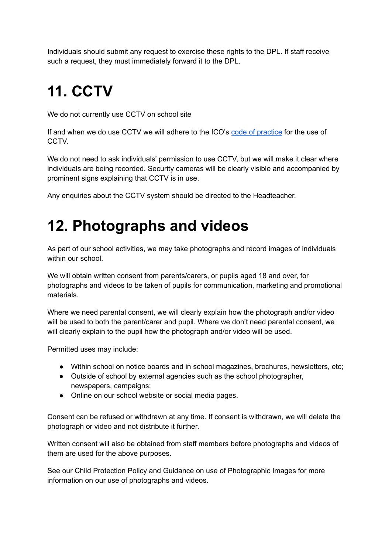Individuals should submit any request to exercise these rights to the DPL. If staff receive such a request, they must immediately forward it to the DPL.

## **11. CCTV**

We do not currently use CCTV on school site

If and when we do use CCTV we will adhere to the ICO's code of [practice](https://ico.org.uk/media/for-organisations/documents/1542/cctv-code-of-practice.pdf) for the use of **CCTV** 

We do not need to ask individuals' permission to use CCTV, but we will make it clear where individuals are being recorded. Security cameras will be clearly visible and accompanied by prominent signs explaining that CCTV is in use.

Any enquiries about the CCTV system should be directed to the Headteacher.

### **12. Photographs and videos**

As part of our school activities, we may take photographs and record images of individuals within our school.

We will obtain written consent from parents/carers, or pupils aged 18 and over, for photographs and videos to be taken of pupils for communication, marketing and promotional materials.

Where we need parental consent, we will clearly explain how the photograph and/or video will be used to both the parent/carer and pupil. Where we don't need parental consent, we will clearly explain to the pupil how the photograph and/or video will be used.

Permitted uses may include:

- Within school on notice boards and in school magazines, brochures, newsletters, etc;
- Outside of school by external agencies such as the school photographer, newspapers, campaigns;
- Online on our school website or social media pages.

Consent can be refused or withdrawn at any time. If consent is withdrawn, we will delete the photograph or video and not distribute it further.

Written consent will also be obtained from staff members before photographs and videos of them are used for the above purposes.

See our Child Protection Policy and Guidance on use of Photographic Images for more information on our use of photographs and videos.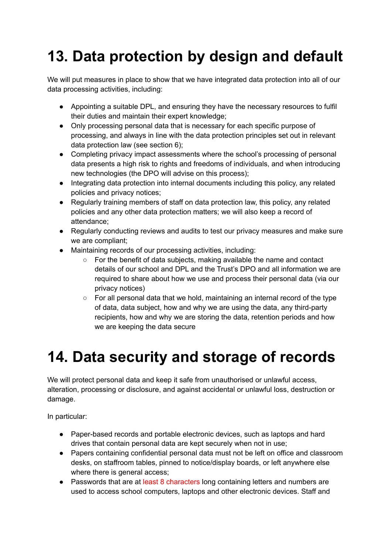## **13. Data protection by design and default**

We will put measures in place to show that we have integrated data protection into all of our data processing activities, including:

- Appointing a suitable DPL, and ensuring they have the necessary resources to fulfil their duties and maintain their expert knowledge;
- Only processing personal data that is necessary for each specific purpose of processing, and always in line with the data protection principles set out in relevant data protection law (see section 6);
- Completing privacy impact assessments where the school's processing of personal data presents a high risk to rights and freedoms of individuals, and when introducing new technologies (the DPO will advise on this process);
- Integrating data protection into internal documents including this policy, any related policies and privacy notices;
- Regularly training members of staff on data protection law, this policy, any related policies and any other data protection matters; we will also keep a record of attendance;
- Regularly conducting reviews and audits to test our privacy measures and make sure we are compliant;
- Maintaining records of our processing activities, including:
	- For the benefit of data subjects, making available the name and contact details of our school and DPL and the Trust's DPO and all information we are required to share about how we use and process their personal data (via our privacy notices)
	- For all personal data that we hold, maintaining an internal record of the type of data, data subject, how and why we are using the data, any third-party recipients, how and why we are storing the data, retention periods and how we are keeping the data secure

## **14. Data security and storage of records**

We will protect personal data and keep it safe from unauthorised or unlawful access, alteration, processing or disclosure, and against accidental or unlawful loss, destruction or damage.

In particular:

- Paper-based records and portable electronic devices, such as laptops and hard drives that contain personal data are kept securely when not in use;
- Papers containing confidential personal data must not be left on office and classroom desks, on staffroom tables, pinned to notice/display boards, or left anywhere else where there is general access:
- Passwords that are at least 8 characters long containing letters and numbers are used to access school computers, laptops and other electronic devices. Staff and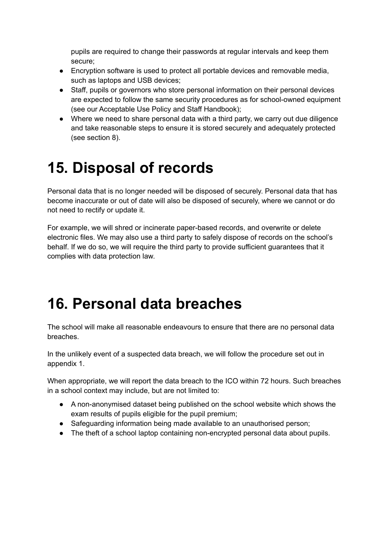pupils are required to change their passwords at regular intervals and keep them secure;

- Encryption software is used to protect all portable devices and removable media, such as laptops and USB devices;
- Staff, pupils or governors who store personal information on their personal devices are expected to follow the same security procedures as for school-owned equipment (see our Acceptable Use Policy and Staff Handbook);
- Where we need to share personal data with a third party, we carry out due diligence and take reasonable steps to ensure it is stored securely and adequately protected (see section 8).

### **15. Disposal of records**

Personal data that is no longer needed will be disposed of securely. Personal data that has become inaccurate or out of date will also be disposed of securely, where we cannot or do not need to rectify or update it.

For example, we will shred or incinerate paper-based records, and overwrite or delete electronic files. We may also use a third party to safely dispose of records on the school's behalf. If we do so, we will require the third party to provide sufficient guarantees that it complies with data protection law.

### **16. Personal data breaches**

The school will make all reasonable endeavours to ensure that there are no personal data breaches.

In the unlikely event of a suspected data breach, we will follow the procedure set out in appendix 1.

When appropriate, we will report the data breach to the ICO within 72 hours. Such breaches in a school context may include, but are not limited to:

- A non-anonymised dataset being published on the school website which shows the exam results of pupils eligible for the pupil premium;
- Safeguarding information being made available to an unauthorised person;
- The theft of a school laptop containing non-encrypted personal data about pupils.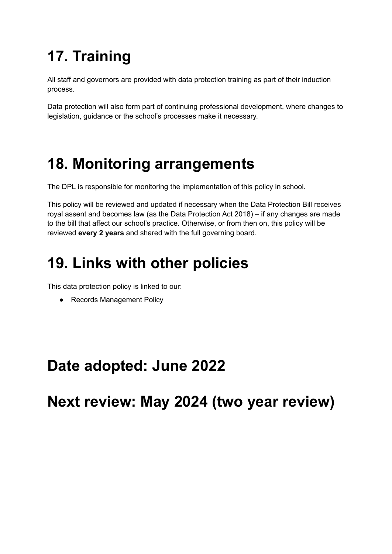# **17. Training**

All staff and governors are provided with data protection training as part of their induction process.

Data protection will also form part of continuing professional development, where changes to legislation, guidance or the school's processes make it necessary.

## **18. Monitoring arrangements**

The DPL is responsible for monitoring the implementation of this policy in school.

This policy will be reviewed and updated if necessary when the Data Protection Bill receives royal assent and becomes law (as the Data Protection Act 2018) – if any changes are made to the bill that affect our school's practice. Otherwise, or from then on, this policy will be reviewed **every 2 years** and shared with the full governing board.

## **19. Links with other policies**

This data protection policy is linked to our:

● Records Management Policy

## **Date adopted: June 2022**

**Next review: May 2024 (two year review)**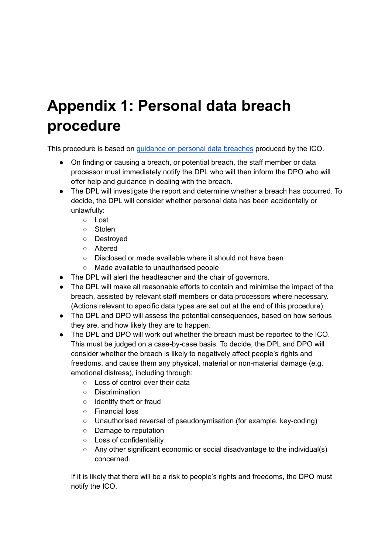## **Appendix 1: Personal data breach procedure**

This procedure is based on guidance on personal data [breaches](https://ico.org.uk/for-organisations/guide-to-the-general-data-protection-regulation-gdpr/personal-data-breaches/) produced by the ICO.

- On finding or causing a breach, or potential breach, the staff member or data processor must immediately notify the DPL who will then inform the DPO who will offer help and guidance in dealing with the breach.
- The DPL will investigate the report and determine whether a breach has occurred. To decide, the DPL will consider whether personal data has been accidentally or unlawfully:
	- Lost
	- Stolen
	- Destroyed
	- Altered
	- Disclosed or made available where it should not have been
	- Made available to unauthorised people
- The DPL will alert the headteacher and the chair of governors.
- The DPL will make all reasonable efforts to contain and minimise the impact of the breach, assisted by relevant staff members or data processors where necessary. (Actions relevant to specific data types are set out at the end of this procedure).
- The DPL and DPO will assess the potential consequences, based on how serious they are, and how likely they are to happen.
- The DPL and DPO will work out whether the breach must be reported to the ICO. This must be judged on a case-by-case basis. To decide, the DPL and DPO will consider whether the breach is likely to negatively affect people's rights and freedoms, and cause them any physical, material or non-material damage (e.g. emotional distress), including through:
	- Loss of control over their data
	- Discrimination
	- Identify theft or fraud
	- Financial loss
	- Unauthorised reversal of pseudonymisation (for example, key-coding)
	- Damage to reputation
	- Loss of confidentiality
	- Any other significant economic or social disadvantage to the individual(s) concerned.

If it is likely that there will be a risk to people's rights and freedoms, the DPO must notify the ICO.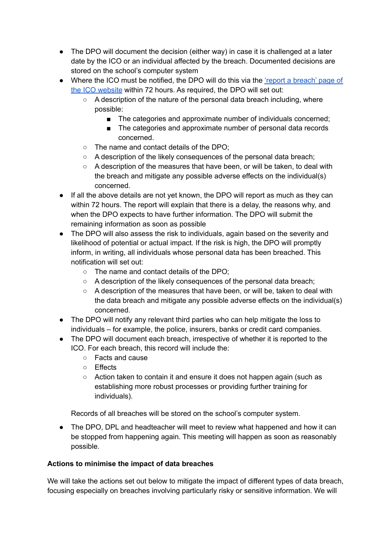- The DPO will document the decision (either way) in case it is challenged at a later date by the ICO or an individual affected by the breach. Documented decisions are stored on the school's computer system
- Where the ICO must be notified, the DPO will do this via the 'report a [breach'](https://ico.org.uk/for-organisations/report-a-breach/) page of the ICO [website](https://ico.org.uk/for-organisations/report-a-breach/) within 72 hours. As required, the DPO will set out:
	- $\circ$  A description of the nature of the personal data breach including, where possible:
		- The categories and approximate number of individuals concerned;
		- The categories and approximate number of personal data records concerned.
	- The name and contact details of the DPO;
	- A description of the likely consequences of the personal data breach;
	- A description of the measures that have been, or will be taken, to deal with the breach and mitigate any possible adverse effects on the individual(s) concerned.
- If all the above details are not yet known, the DPO will report as much as they can within 72 hours. The report will explain that there is a delay, the reasons why, and when the DPO expects to have further information. The DPO will submit the remaining information as soon as possible
- The DPO will also assess the risk to individuals, again based on the severity and likelihood of potential or actual impact. If the risk is high, the DPO will promptly inform, in writing, all individuals whose personal data has been breached. This notification will set out:
	- The name and contact details of the DPO;
	- A description of the likely consequences of the personal data breach;
	- $\circ$  A description of the measures that have been, or will be, taken to deal with the data breach and mitigate any possible adverse effects on the individual(s) concerned.
- The DPO will notify any relevant third parties who can help mitigate the loss to individuals – for example, the police, insurers, banks or credit card companies.
- The DPO will document each breach, irrespective of whether it is reported to the ICO. For each breach, this record will include the:
	- Facts and cause
	- Effects
	- Action taken to contain it and ensure it does not happen again (such as establishing more robust processes or providing further training for individuals).

Records of all breaches will be stored on the school's computer system.

• The DPO, DPL and headteacher will meet to review what happened and how it can be stopped from happening again. This meeting will happen as soon as reasonably possible.

#### **Actions to minimise the impact of data breaches**

We will take the actions set out below to mitigate the impact of different types of data breach, focusing especially on breaches involving particularly risky or sensitive information. We will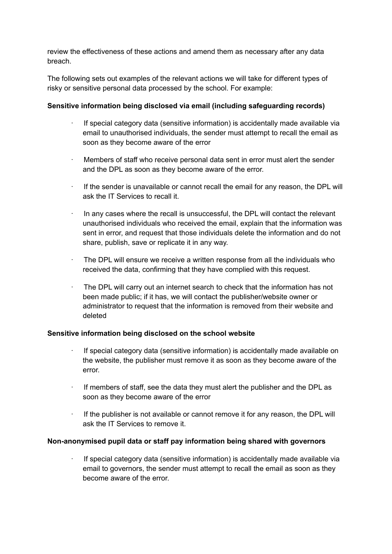review the effectiveness of these actions and amend them as necessary after any data breach.

The following sets out examples of the relevant actions we will take for different types of risky or sensitive personal data processed by the school. For example:

#### **Sensitive information being disclosed via email (including safeguarding records)**

- · If special category data (sensitive information) is accidentally made available via email to unauthorised individuals, the sender must attempt to recall the email as soon as they become aware of the error
- · Members of staff who receive personal data sent in error must alert the sender and the DPL as soon as they become aware of the error.
- If the sender is unavailable or cannot recall the email for any reason, the DPL will ask the IT Services to recall it.
- In any cases where the recall is unsuccessful, the DPL will contact the relevant unauthorised individuals who received the email, explain that the information was sent in error, and request that those individuals delete the information and do not share, publish, save or replicate it in any way.
- · The DPL will ensure we receive a written response from all the individuals who received the data, confirming that they have complied with this request.
- The DPL will carry out an internet search to check that the information has not been made public; if it has, we will contact the publisher/website owner or administrator to request that the information is removed from their website and deleted

#### **Sensitive information being disclosed on the school website**

- If special category data (sensitive information) is accidentally made available on the website, the publisher must remove it as soon as they become aware of the error.
- If members of staff, see the data they must alert the publisher and the DPL as soon as they become aware of the error
- · If the publisher is not available or cannot remove it for any reason, the DPL will ask the IT Services to remove it.

#### **Non-anonymised pupil data or staff pay information being shared with governors**

· If special category data (sensitive information) is accidentally made available via email to governors, the sender must attempt to recall the email as soon as they become aware of the error.